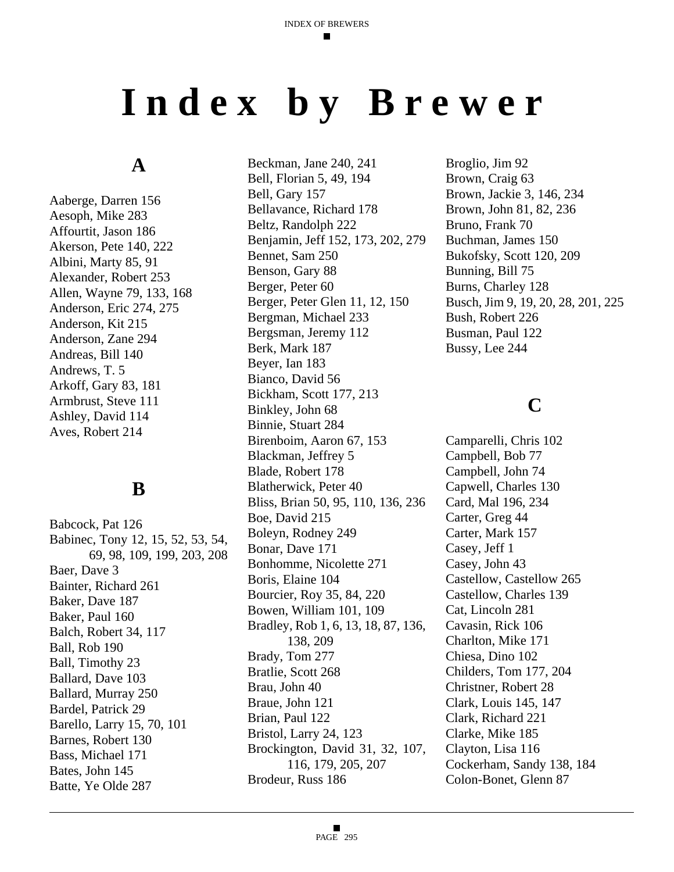## **Index by Brewer**

#### **A**

Aaberge, Darren 156 Aesoph, Mike 283 Affourtit, Jason 186 Akerson, Pete 140, 222 Albini, Marty 85, 91 Alexander, Robert 253 Allen, Wayne 79, 133, 168 Anderson, Eric 274, 275 Anderson, Kit 215 Anderson, Zane 294 Andreas, Bill 140 Andrews, T. 5 Arkoff, Gary 83, 181 Armbrust, Steve 111 Ashley, David 114 Aves, Robert 214

#### **B**

Babcock, Pat 126 Babinec, Tony 12, 15, 52, 53, 54, 69, 98, 109, 199, 203, 208 Baer, Dave 3 Bainter, Richard 261 Baker, Dave 187 Baker, Paul 160 Balch, Robert 34, 117 Ball, Rob 190 Ball, Timothy 23 Ballard, Dave 103 Ballard, Murray 250 Bardel, Patrick 29 Barello, Larry 15, 70, 101 Barnes, Robert 130 Bass, Michael 171 Bates, John 145 Batte, Ye Olde 287

Beckman, Jane 240, 241 Bell, Florian 5, 49, 194 Bell, Gary 157 Bellavance, Richard 178 Beltz, Randolph 222 Benjamin, Jeff 152, 173, 202, 279 Bennet, Sam 250 Benson, Gary 88 Berger, Peter 60 Berger, Peter Glen 11, 12, 150 Bergman, Michael 233 Bergsman, Jeremy 112 Berk, Mark 187 Beyer, Ian 183 Bianco, David 56 Bickham, Scott 177, 213 Binkley, John 68 Binnie, Stuart 284 Birenboim, Aaron 67, 153 Blackman, Jeffrey 5 Blade, Robert 178 Blatherwick, Peter 40 Bliss, Brian 50, 95, 110, 136, 236 Boe, David 215 Boleyn, Rodney 249 Bonar, Dave 171 Bonhomme, Nicolette 271 Boris, Elaine 104 Bourcier, Roy 35, 84, 220 Bowen, William 101, 109 Bradley, Rob 1, 6, 13, 18, 87, 136, 138, 209 Brady, Tom 277 Bratlie, Scott 268 Brau, John 40 Braue, John 121 Brian, Paul 122 Bristol, Larry 24, 123 Brockington, David 31, 32, 107, 116, 179, 205, 207 Brodeur, Russ 186

Broglio, Jim 92 Brown, Craig 63 Brown, Jackie 3, 146, 234 Brown, John 81, 82, 236 Bruno, Frank 70 Buchman, James 150 Bukofsky, Scott 120, 209 Bunning, Bill 75 Burns, Charley 128 Busch, Jim 9, 19, 20, 28, 201, 225 Bush, Robert 226 Busman, Paul 122 Bussy, Lee 244

## **C**

Camparelli, Chris 102 Campbell, Bob 77 Campbell, John 74 Capwell, Charles 130 Card, Mal 196, 234 Carter, Greg 44 Carter, Mark 157 Casey, Jeff 1 Casey, John 43 Castellow, Castellow 265 Castellow, Charles 139 Cat, Lincoln 281 Cavasin, Rick 106 Charlton, Mike 171 Chiesa, Dino 102 Childers, Tom 177, 204 Christner, Robert 28 Clark, Louis 145, 147 Clark, Richard 221 Clarke, Mike 185 Clayton, Lisa 116 Cockerham, Sandy 138, 184 Colon-Bonet, Glenn 87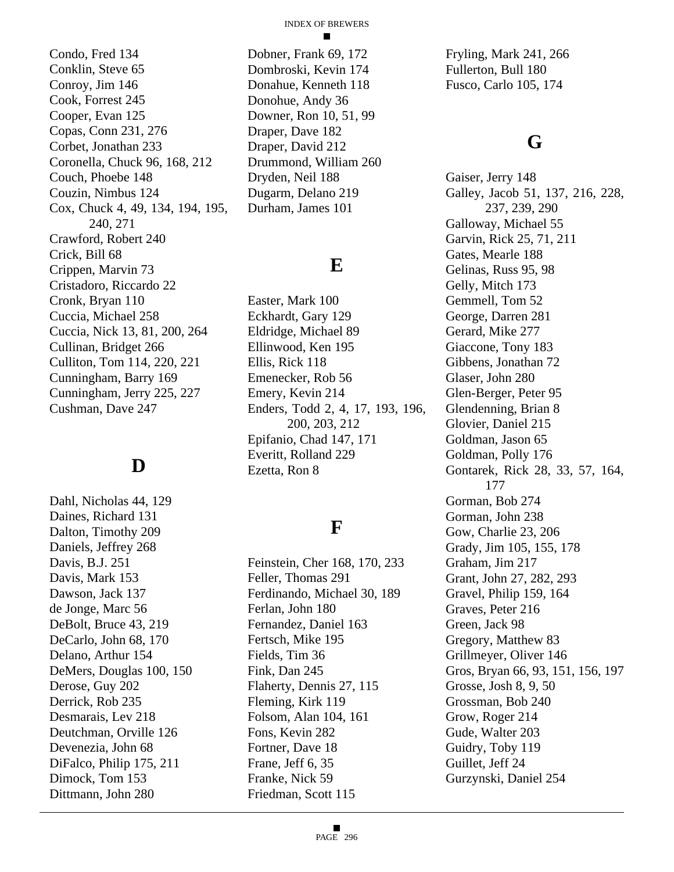Condo, Fred 134 Conklin, Steve 65 Conroy, Jim 146 Cook, Forrest 245 Cooper, Evan 125 Copas, Conn 231, 276 Corbet, Jonathan 233 Coronella, Chuck 96, 168, 212 Couch, Phoebe 148 Couzin, Nimbus 124 Cox, Chuck 4, 49, 134, 194, 195, 240, 271 Crawford, Robert 240 Crick, Bill 68 Crippen, Marvin 73 Cristadoro, Riccardo 22 Cronk, Bryan 110 Cuccia, Michael 258 Cuccia, Nick 13, 81, 200, 264 Cullinan, Bridget 266 Culliton, Tom 114, 220, 221 Cunningham, Barry 169 Cunningham, Jerry 225, 227 Cushman, Dave 247

#### **D**

Dahl, Nicholas 44, 129 Daines, Richard 131 Dalton, Timothy 209 Daniels, Jeffrey 268 Davis, B.J. 251 Davis, Mark 153 Dawson, Jack 137 de Jonge, Marc 56 DeBolt, Bruce 43, 219 DeCarlo, John 68, 170 Delano, Arthur 154 DeMers, Douglas 100, 150 Derose, Guy 202 Derrick, Rob 235 Desmarais, Lev 218 Deutchman, Orville 126 Devenezia, John 68 DiFalco, Philip 175, 211 Dimock, Tom 153 Dittmann, John 280

Dobner, Frank 69, 172 Dombroski, Kevin 174 Donahue, Kenneth 118 Donohue, Andy 36 Downer, Ron 10, 51, 99 Draper, Dave 182 Draper, David 212 Drummond, William 260 Dryden, Neil 188 Dugarm, Delano 219 Durham, James 101

#### **E**

Easter, Mark 100 Eckhardt, Gary 129 Eldridge, Michael 89 Ellinwood, Ken 195 Ellis, Rick 118 Emenecker, Rob 56 Emery, Kevin 214 Enders, Todd 2, 4, 17, 193, 196, 200, 203, 212 Epifanio, Chad 147, 171 Everitt, Rolland 229 Ezetta, Ron 8

#### **F**

Feinstein, Cher 168, 170, 233 Feller, Thomas 291 Ferdinando, Michael 30, 189 Ferlan, John 180 Fernandez, Daniel 163 Fertsch, Mike 195 Fields, Tim 36 Fink, Dan 245 Flaherty, Dennis 27, 115 Fleming, Kirk 119 Folsom, Alan 104, 161 Fons, Kevin 282 Fortner, Dave 18 Frane, Jeff 6, 35 Franke, Nick 59 Friedman, Scott 115

Fryling, Mark 241, 266 Fullerton, Bull 180 Fusco, Carlo 105, 174

#### **G**

Gaiser, Jerry 148 Galley, Jacob 51, 137, 216, 228, 237, 239, 290 Galloway, Michael 55 Garvin, Rick 25, 71, 211 Gates, Mearle 188 Gelinas, Russ 95, 98 Gelly, Mitch 173 Gemmell, Tom 52 George, Darren 281 Gerard, Mike 277 Giaccone, Tony 183 Gibbens, Jonathan 72 Glaser, John 280 Glen-Berger, Peter 95 Glendenning, Brian 8 Glovier, Daniel 215 Goldman, Jason 65 Goldman, Polly 176 Gontarek, Rick 28, 33, 57, 164, 177 Gorman, Bob 274 Gorman, John 238 Gow, Charlie 23, 206 Grady, Jim 105, 155, 178 Graham, Jim 217 Grant, John 27, 282, 293 Gravel, Philip 159, 164 Graves, Peter 216 Green, Jack 98 Gregory, Matthew 83 Grillmeyer, Oliver 146 Gros, Bryan 66, 93, 151, 156, 197 Grosse, Josh 8, 9, 50 Grossman, Bob 240 Grow, Roger 214 Gude, Walter 203 Guidry, Toby 119 Guillet, Jeff 24 Gurzynski, Daniel 254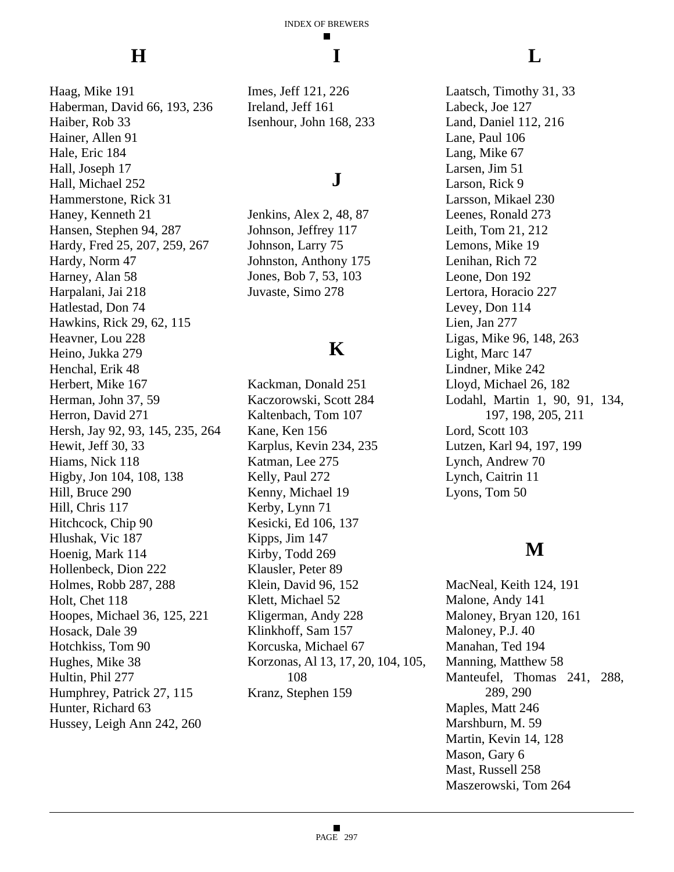#### **H**

Haag, Mike 191 Haberman, David 66, 193, 236 Haiber, Rob 33 Hainer, Allen 91 Hale, Eric 184 Hall, Joseph 17 Hall, Michael 252 Hammerstone, Rick 31 Haney, Kenneth 21 Hansen, Stephen 94, 287 Hardy, Fred 25, 207, 259, 267 Hardy, Norm 47 Harney, Alan 58 Harpalani, Jai 218 Hatlestad, Don 74 Hawkins, Rick 29, 62, 115 Heavner, Lou 228 Heino, Jukka 279 Henchal, Erik 48 Herbert, Mike 167 Herman, John 37, 59 Herron, David 271 Hersh, Jay 92, 93, 145, 235, 264 Hewit, Jeff 30, 33 Hiams, Nick 118 Higby, Jon 104, 108, 138 Hill, Bruce 290 Hill, Chris 117 Hitchcock, Chip 90 Hlushak, Vic 187 Hoenig, Mark 114 Hollenbeck, Dion 222 Holmes, Robb 287, 288 Holt, Chet 118 Hoopes, Michael 36, 125, 221 Hosack, Dale 39 Hotchkiss, Tom 90 Hughes, Mike 38 Hultin, Phil 277 Humphrey, Patrick 27, 115 Hunter, Richard 63 Hussey, Leigh Ann 242, 260

#### **I**

Imes, Jeff 121, 226 Ireland, Jeff 161 Isenhour, John 168, 233

#### **J**

Jenkins, Alex 2, 48, 87 Johnson, Jeffrey 117 Johnson, Larry 75 Johnston, Anthony 175 Jones, Bob 7, 53, 103 Juvaste, Simo 278

#### **K**

Kackman, Donald 251 Kaczorowski, Scott 284 Kaltenbach, Tom 107 Kane, Ken 156 Karplus, Kevin 234, 235 Katman, Lee 275 Kelly, Paul 272 Kenny, Michael 19 Kerby, Lynn 71 Kesicki, Ed 106, 137 Kipps, Jim 147 Kirby, Todd 269 Klausler, Peter 89 Klein, David 96, 152 Klett, Michael 52 Kligerman, Andy 228 Klinkhoff, Sam 157 Korcuska, Michael 67 Korzonas, Al 13, 17, 20, 104, 105, 108 Kranz, Stephen 159

#### **L**

Laatsch, Timothy 31, 33 Labeck, Joe 127 Land, Daniel 112, 216 Lane, Paul 106 Lang, Mike 67 Larsen, Jim 51 Larson, Rick 9 Larsson, Mikael 230 Leenes, Ronald 273 Leith, Tom 21, 212 Lemons, Mike 19 Lenihan, Rich 72 Leone, Don 192 Lertora, Horacio 227 Levey, Don 114 Lien, Jan 277 Ligas, Mike 96, 148, 263 Light, Marc 147 Lindner, Mike 242 Lloyd, Michael 26, 182 Lodahl, Martin 1, 90, 91, 134, 197, 198, 205, 211 Lord, Scott 103 Lutzen, Karl 94, 197, 199 Lynch, Andrew 70 Lynch, Caitrin 11 Lyons, Tom 50

#### **M**

MacNeal, Keith 124, 191 Malone, Andy 141 Maloney, Bryan 120, 161 Maloney, P.J. 40 Manahan, Ted 194 Manning, Matthew 58 Manteufel, Thomas 241, 288, 289, 290 Maples, Matt 246 Marshburn, M. 59 Martin, Kevin 14, 128 Mason, Gary 6 Mast, Russell 258 Maszerowski, Tom 264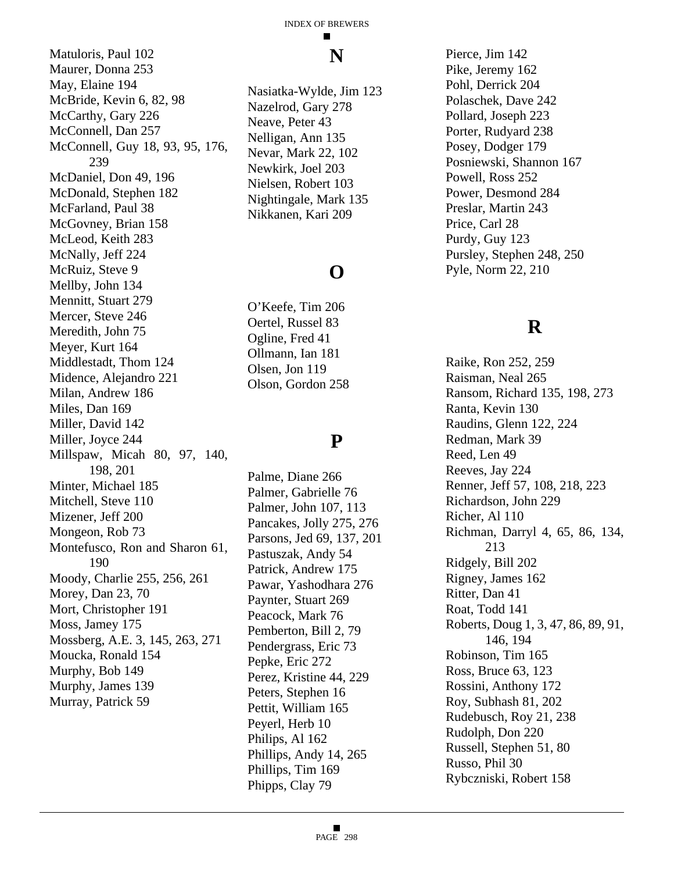Matuloris, Paul 102 Maurer, Donna 253 May, Elaine 194 McBride, Kevin 6, 82, 98 McCarthy, Gary 226 McConnell, Dan 257 McConnell, Guy 18, 93, 95, 176, 239 McDaniel, Don 49, 196 McDonald, Stephen 182 McFarland, Paul 38 McGovney, Brian 158 McLeod, Keith 283 McNally, Jeff 224 McRuiz, Steve 9 Mellby, John 134 Mennitt, Stuart 279 Mercer, Steve 246 Meredith, John 75 Meyer, Kurt 164 Middlestadt, Thom 124 Midence, Alejandro 221 Milan, Andrew 186 Miles, Dan 169 Miller, David 142 Miller, Joyce 244 Millspaw, Micah 80, 97, 140, 198, 201 Minter, Michael 185 Mitchell, Steve 110 Mizener, Jeff 200 Mongeon, Rob 73 Montefusco, Ron and Sharon 61, 190 Moody, Charlie 255, 256, 261 Morey, Dan 23, 70 Mort, Christopher 191 Moss, Jamey 175 Mossberg, A.E. 3, 145, 263, 271 Moucka, Ronald 154 Murphy, Bob 149 Murphy, James 139 Murray, Patrick 59

#### **N**

Nasiatka-Wylde, Jim 123 Nazelrod, Gary 278 Neave, Peter 43 Nelligan, Ann 135 Nevar, Mark 22, 102 Newkirk, Joel 203 Nielsen, Robert 103 Nightingale, Mark 135 Nikkanen, Kari 209

#### **O**

O'Keefe, Tim 206 Oertel, Russel 83 Ogline, Fred 41 Ollmann, Ian 181 Olsen, Jon 119 Olson, Gordon 258

### **P**

Palme, Diane 266 Palmer, Gabrielle 76 Palmer, John 107, 113 Pancakes, Jolly 275, 276 Parsons, Jed 69, 137, 201 Pastuszak, Andy 54 Patrick, Andrew 175 Pawar, Yashodhara 276 Paynter, Stuart 269 Peacock, Mark 76 Pemberton, Bill 2, 79 Pendergrass, Eric 73 Pepke, Eric 272 Perez, Kristine 44, 229 Peters, Stephen 16 Pettit, William 165 Peyerl, Herb 10 Philips, Al 162 Phillips, Andy 14, 265 Phillips, Tim 169 Phipps, Clay 79

Pierce, Jim 142 Pike, Jeremy 162 Pohl, Derrick 204 Polaschek, Dave 242 Pollard, Joseph 223 Porter, Rudyard 238 Posey, Dodger 179 Posniewski, Shannon 167 Powell, Ross 252 Power, Desmond 284 Preslar, Martin 243 Price, Carl 28 Purdy, Guy 123 Pursley, Stephen 248, 250 Pyle, Norm 22, 210

#### **R**

Raike, Ron 252, 259 Raisman, Neal 265 Ransom, Richard 135, 198, 273 Ranta, Kevin 130 Raudins, Glenn 122, 224 Redman, Mark 39 Reed, Len 49 Reeves, Jay 224 Renner, Jeff 57, 108, 218, 223 Richardson, John 229 Richer, Al 110 Richman, Darryl 4, 65, 86, 134, 213 Ridgely, Bill 202 Rigney, James 162 Ritter, Dan 41 Roat, Todd 141 Roberts, Doug 1, 3, 47, 86, 89, 91, 146, 194 Robinson, Tim 165 Ross, Bruce 63, 123 Rossini, Anthony 172 Roy, Subhash 81, 202 Rudebusch, Roy 21, 238 Rudolph, Don 220 Russell, Stephen 51, 80 Russo, Phil 30 Rybczniski, Robert 158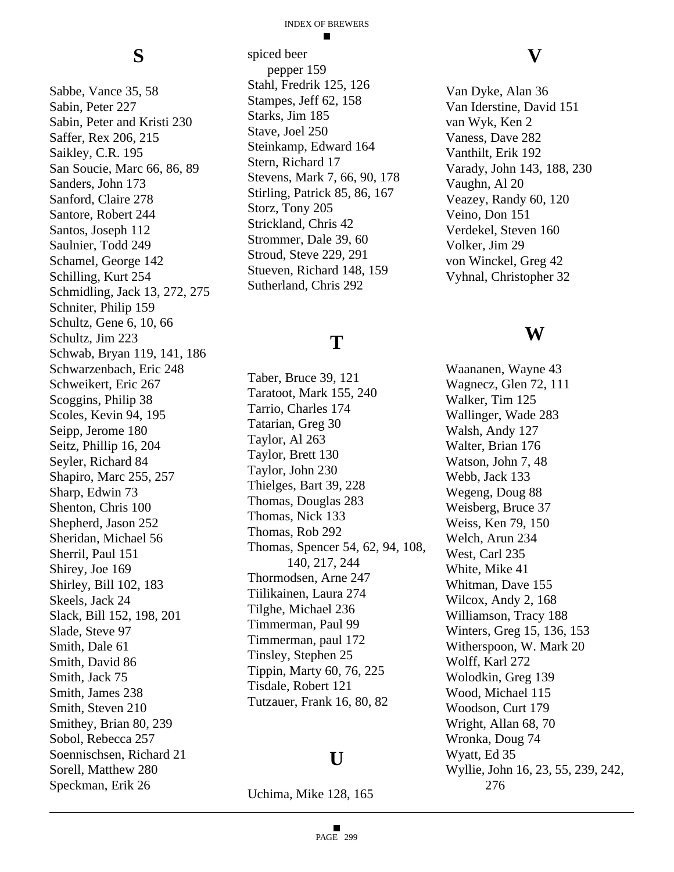#### **S**

Sabbe, Vance 35, 58 Sabin, Peter 227 Sabin, Peter and Kristi 230 Saffer, Rex 206, 215 Saikley, C.R. 195 San Soucie, Marc 66, 86, 89 Sanders, John 173 Sanford, Claire 278 Santore, Robert 244 Santos, Joseph 112 Saulnier, Todd 249 Schamel, George 142 Schilling, Kurt 254 Schmidling, Jack 13, 272, 275 Schniter, Philip 159 Schultz, Gene 6, 10, 66 Schultz, Jim 223 Schwab, Bryan 119, 141, 186 Schwarzenbach, Eric 248 Schweikert, Eric 267 Scoggins, Philip 38 Scoles, Kevin 94, 195 Seipp, Jerome 180 Seitz, Phillip 16, 204 Seyler, Richard 84 Shapiro, Marc 255, 257 Sharp, Edwin 73 Shenton, Chris 100 Shepherd, Jason 252 Sheridan, Michael 56 Sherril, Paul 151 Shirey, Joe 169 Shirley, Bill 102, 183 Skeels, Jack 24 Slack, Bill 152, 198, 201 Slade, Steve 97 Smith, Dale 61 Smith, David 86 Smith, Jack 75 Smith, James 238 Smith, Steven 210 Smithey, Brian 80, 239 Sobol, Rebecca 257 Soennischsen, Richard 21 Sorell, Matthew 280 Speckman, Erik 26

spiced beer pepper 159 Stahl, Fredrik 125, 126 Stampes, Jeff 62, 158 Starks, Jim 185 Stave, Joel 250 Steinkamp, Edward 164 Stern, Richard 17 Stevens, Mark 7, 66, 90, 178 Stirling, Patrick 85, 86, 167 Storz, Tony 205 Strickland, Chris 42 Strommer, Dale 39, 60 Stroud, Steve 229, 291 Stueven, Richard 148, 159 Sutherland, Chris 292

#### **T**

Taber, Bruce 39, 121 Taratoot, Mark 155, 240 Tarrio, Charles 174 Tatarian, Greg 30 Taylor, Al 263 Taylor, Brett 130 Taylor, John 230 Thielges, Bart 39, 228 Thomas, Douglas 283 Thomas, Nick 133 Thomas, Rob 292 Thomas, Spencer 54, 62, 94, 108, 140, 217, 244 Thormodsen, Arne 247 Tiilikainen, Laura 274 Tilghe, Michael 236 Timmerman, Paul 99 Timmerman, paul 172 Tinsley, Stephen 25 Tippin, Marty 60, 76, 225 Tisdale, Robert 121 Tutzauer, Frank 16, 80, 82

#### **U**

Uchima, Mike 128, 165

#### **V**

Van Dyke, Alan 36 Van Iderstine, David 151 van Wyk, Ken 2 Vaness, Dave 282 Vanthilt, Erik 192 Varady, John 143, 188, 230 Vaughn, Al 20 Veazey, Randy 60, 120 Veino, Don 151 Verdekel, Steven 160 Volker, Jim 29 von Winckel, Greg 42 Vyhnal, Christopher 32

#### **W**

Waananen, Wayne 43 Wagnecz, Glen 72, 111 Walker, Tim 125 Wallinger, Wade 283 Walsh, Andy 127 Walter, Brian 176 Watson, John 7, 48 Webb, Jack 133 Wegeng, Doug 88 Weisberg, Bruce 37 Weiss, Ken 79, 150 Welch, Arun 234 West, Carl 235 White, Mike 41 Whitman, Dave 155 Wilcox, Andy 2, 168 Williamson, Tracy 188 Winters, Greg 15, 136, 153 Witherspoon, W. Mark 20 Wolff, Karl 272 Wolodkin, Greg 139 Wood, Michael 115 Woodson, Curt 179 Wright, Allan 68, 70 Wronka, Doug 74 Wyatt, Ed 35 Wyllie, John 16, 23, 55, 239, 242, 276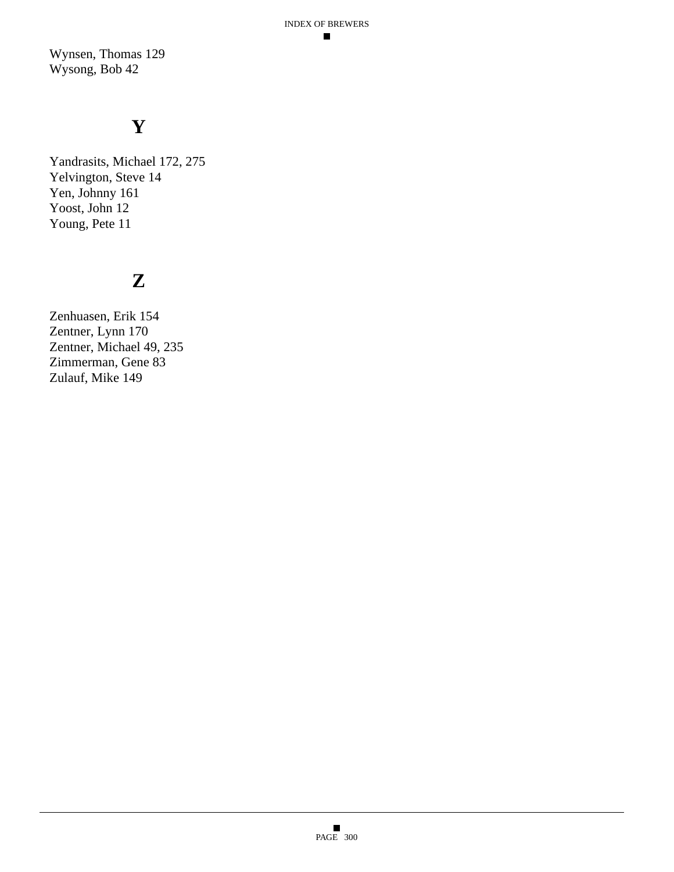Wynsen, Thomas 129 Wysong, Bob 42

#### **Y**

Yandrasits, Michael 172, 275 Yelvington, Steve 14 Yen, Johnny 161 Yoost, John 12 Young, Pete 11

#### **Z**

Zenhuasen, Erik 154 Zentner, Lynn 170 Zentner, Michael 49, 235 Zimmerman, Gene 83 Zulauf, Mike 149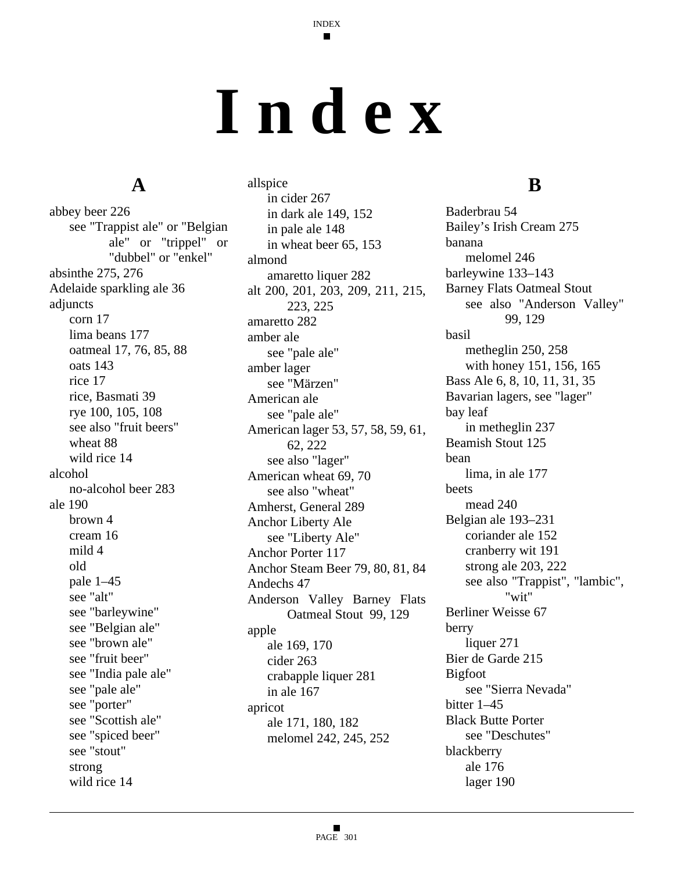# **Index**

#### **A**

abbey beer 226 see "Trappist ale" or "Belgian ale" or "trippel" or "dubbel" or "enkel" absinthe 275, 276 Adelaide sparkling ale 36 adjuncts corn 17 lima beans 177 oatmeal 17, 76, 85, 88 oats 143 rice 17 rice, Basmati 39 rye 100, 105, 108 see also "fruit beers" wheat 88 wild rice 14 alcohol no-alcohol beer 283 ale 190 brown 4 cream 16 mild 4 old pale 1–45 see "alt" see "barleywine" see "Belgian ale" see "brown ale" see "fruit beer" see "India pale ale" see "pale ale" see "porter" see "Scottish ale" see "spiced beer" see "stout" strong wild rice 14

allspice in cider 267 in dark ale 149, 152 in pale ale 148 in wheat beer 65, 153 almond amaretto liquer 282 alt 200, 201, 203, 209, 211, 215, 223, 225 amaretto 282 amber ale see "pale ale" amber lager see "Märzen" American ale see "pale ale" American lager 53, 57, 58, 59, 61, 62, 222 see also "lager" American wheat 69, 70 see also "wheat" Amherst, General 289 Anchor Liberty Ale see "Liberty Ale" Anchor Porter 117 Anchor Steam Beer 79, 80, 81, 84 Andechs 47 Anderson Valley Barney Flats Oatmeal Stout 99, 129 apple ale 169, 170 cider 263 crabapple liquer 281 in ale 167 apricot ale 171, 180, 182 melomel 242, 245, 252

#### **B**

Baderbrau 54 Bailey's Irish Cream 275 banana melomel 246 barleywine 133–143 Barney Flats Oatmeal Stout see also "Anderson Valley" 99, 129 basil metheglin 250, 258 with honey 151, 156, 165 Bass Ale 6, 8, 10, 11, 31, 35 Bavarian lagers, see "lager" bay leaf in metheglin 237 Beamish Stout 125 bean lima, in ale 177 beets mead 240 Belgian ale 193–231 coriander ale 152 cranberry wit 191 strong ale 203, 222 see also "Trappist", "lambic", "wit" Berliner Weisse 67 berry liquer 271 Bier de Garde 215 Bigfoot see "Sierra Nevada" bitter 1–45 Black Butte Porter see "Deschutes" blackberry ale 176 lager 190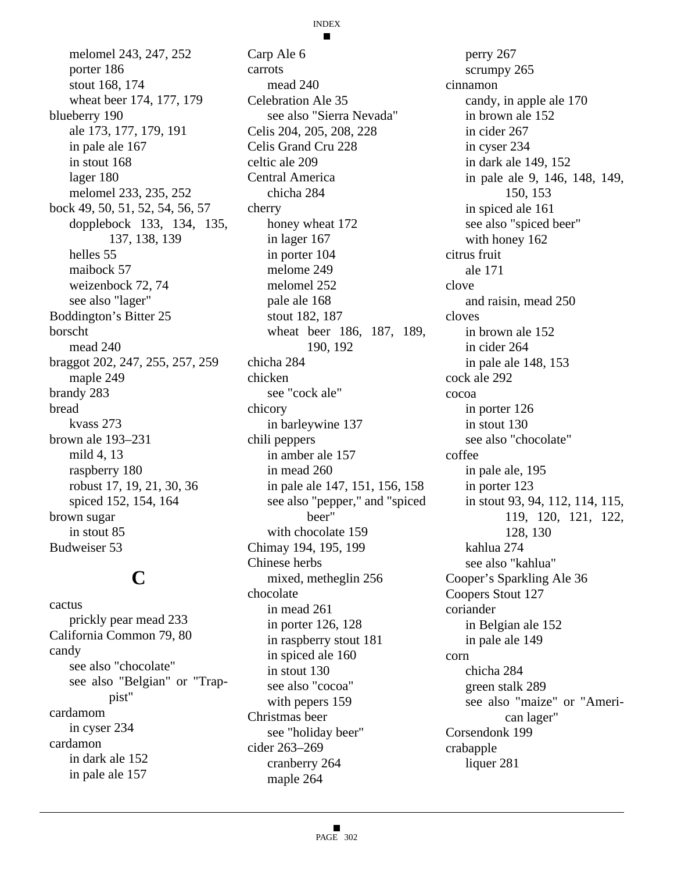INDEX

melomel 243, 247, 252 porter 186 stout 168, 174 wheat beer 174, 177, 179 blueberry 190 ale 173, 177, 179, 191 in pale ale 167 in stout 168 lager 180 melomel 233, 235, 252 bock 49, 50, 51, 52, 54, 56, 57 dopplebock 133, 134, 135, 137, 138, 139 helles 55 maibock 57 weizenbock 72, 74 see also "lager" Boddington's Bitter 25 borscht mead 240 braggot 202, 247, 255, 257, 259 maple 249 brandy 283 bread kvass 273 brown ale 193–231 mild 4, 13 raspberry 180 robust 17, 19, 21, 30, 36 spiced 152, 154, 164 brown sugar in stout 85 Budweiser 53

#### **C**

cactus prickly pear mead 233 California Common 79, 80 candy see also "chocolate" see also "Belgian" or "Trappist" cardamom in cyser 234 cardamon in dark ale 152 in pale ale 157

Carp Ale 6 carrots mead 240 Celebration Ale 35 see also "Sierra Nevada" Celis 204, 205, 208, 228 Celis Grand Cru 228 celtic ale 209 Central America chicha 284 cherry honey wheat 172 in lager 167 in porter 104 melome 249 melomel 252 pale ale 168 stout 182, 187 wheat beer 186, 187, 189, 190, 192 chicha 284 chicken see "cock ale" chicory in barleywine 137 chili peppers in amber ale 157 in mead 260 in pale ale 147, 151, 156, 158 see also "pepper," and "spiced beer" with chocolate 159 Chimay 194, 195, 199 Chinese herbs mixed, metheglin 256 chocolate in mead 261 in porter 126, 128 in raspberry stout 181 in spiced ale 160 in stout 130 see also "cocoa" with pepers 159 Christmas beer see "holiday beer" cider 263–269 cranberry 264 maple 264

perry 267 scrumpy 265 cinnamon candy, in apple ale 170 in brown ale 152 in cider 267 in cyser 234 in dark ale 149, 152 in pale ale 9, 146, 148, 149, 150, 153 in spiced ale 161 see also "spiced beer" with honey 162 citrus fruit ale 171 clove and raisin, mead 250 cloves in brown ale 152 in cider 264 in pale ale 148, 153 cock ale 292 cocoa in porter 126 in stout 130 see also "chocolate" coffee in pale ale, 195 in porter 123 in stout 93, 94, 112, 114, 115, 119, 120, 121, 122, 128, 130 kahlua 274 see also "kahlua" Cooper's Sparkling Ale 36 Coopers Stout 127 coriander in Belgian ale 152 in pale ale 149 corn chicha 284 green stalk 289 see also "maize" or "American lager" Corsendonk 199 crabapple liquer 281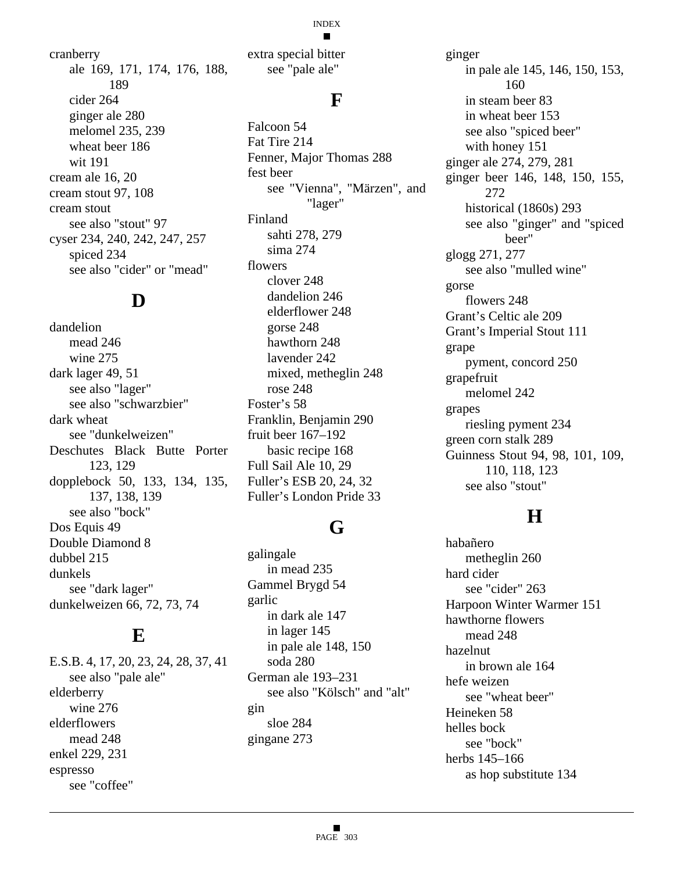INDEX п

cranberry ale 169, 171, 174, 176, 188, 189 cider 264 ginger ale 280 melomel 235, 239 wheat beer 186 wit 191 cream ale 16, 20 cream stout 97, 108 cream stout see also "stout" 97 cyser 234, 240, 242, 247, 257 spiced 234 see also "cider" or "mead"

#### **D**

dandelion mead 246 wine 275 dark lager 49, 51 see also "lager" see also "schwarzbier" dark wheat see "dunkelweizen" Deschutes Black Butte Porter 123, 129 dopplebock 50, 133, 134, 135, 137, 138, 139 see also "bock" Dos Equis 49 Double Diamond 8 dubbel 215 dunkels see "dark lager" dunkelweizen 66, 72, 73, 74

#### **E**

E.S.B. 4, 17, 20, 23, 24, 28, 37, 41 see also "pale ale" elderberry wine 276 elderflowers mead 248 enkel 229, 231 espresso see "coffee"

extra special bitter see "pale ale"

#### **F**

Falcoon 54 Fat Tire 214 Fenner, Major Thomas 288 fest beer see "Vienna", "Märzen", and "lager" Finland sahti 278, 279 sima 274 flowers clover 248 dandelion 246 elderflower 248 gorse 248 hawthorn 248 lavender 242 mixed, metheglin 248 rose 248 Foster's 58 Franklin, Benjamin 290 fruit beer 167–192 basic recipe 168 Full Sail Ale 10, 29 Fuller's ESB 20, 24, 32 Fuller's London Pride 33

### **G**

galingale in mead 235 Gammel Brygd 54 garlic in dark ale 147 in lager 145 in pale ale 148, 150 soda 280 German ale 193–231 see also "Kölsch" and "alt" gin sloe 284 gingane 273

ginger in pale ale 145, 146, 150, 153, 160 in steam beer 83 in wheat beer 153 see also "spiced beer" with honey 151 ginger ale 274, 279, 281 ginger beer 146, 148, 150, 155, 272 historical (1860s) 293 see also "ginger" and "spiced beer" glogg 271, 277 see also "mulled wine" gorse flowers 248 Grant's Celtic ale 209 Grant's Imperial Stout 111 grape pyment, concord 250 grapefruit melomel 242 grapes riesling pyment 234 green corn stalk 289 Guinness Stout 94, 98, 101, 109, 110, 118, 123 see also "stout"

#### **H**

habañero metheglin 260 hard cider see "cider" 263 Harpoon Winter Warmer 151 hawthorne flowers mead 248 hazelnut in brown ale 164 hefe weizen see "wheat beer" Heineken 58 helles bock see "bock" herbs 145–166 as hop substitute 134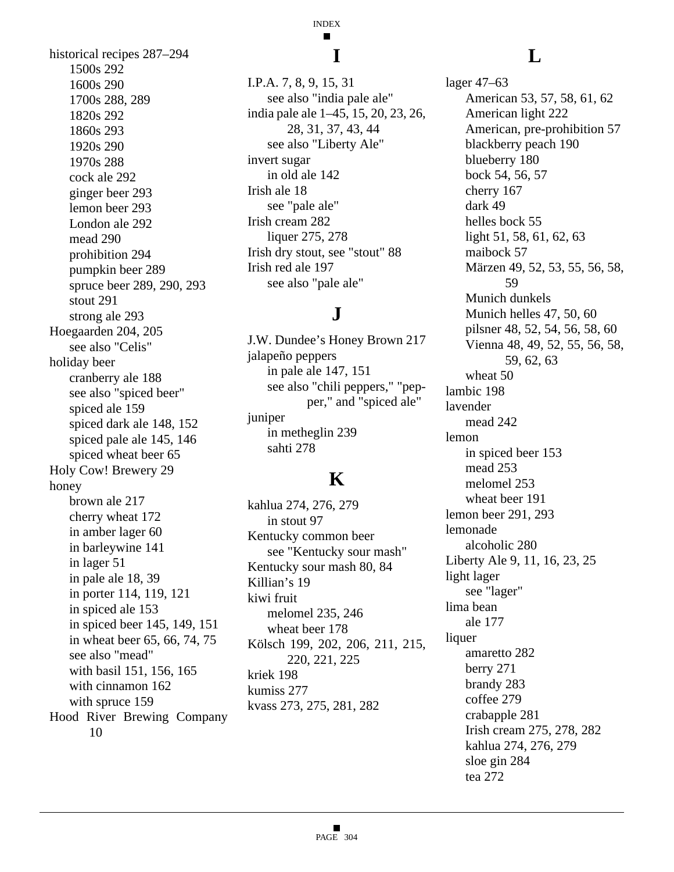historical recipes 287–294 1500s 292 1600s 290 1700s 288, 289 1820s 292 1860s 293 1920s 290 1970s 288 cock ale 292 ginger beer 293 lemon beer 293 London ale 292 mead 290 prohibition 294 pumpkin beer 289 spruce beer 289, 290, 293 stout 291 strong ale 293 Hoegaarden 204, 205 see also "Celis" holiday beer cranberry ale 188 see also "spiced beer" spiced ale 159 spiced dark ale 148, 152 spiced pale ale 145, 146 spiced wheat beer 65 Holy Cow! Brewery 29 honey brown ale 217 cherry wheat 172 in amber lager 60 in barleywine 141 in lager 51 in pale ale 18, 39 in porter 114, 119, 121 in spiced ale 153 in spiced beer 145, 149, 151 in wheat beer 65, 66, 74, 75 see also "mead" with basil 151, 156, 165 with cinnamon 162 with spruce 159

Hood River Brewing Company 10

#### INDEX н

#### **I**

I.P.A. 7, 8, 9, 15, 31 see also "india pale ale" india pale ale 1–45, 15, 20, 23, 26, 28, 31, 37, 43, 44 see also "Liberty Ale" invert sugar in old ale 142 Irish ale 18 see "pale ale" Irish cream 282 liquer 275, 278 Irish dry stout, see "stout" 88 Irish red ale 197 see also "pale ale"

#### **J**

J.W. Dundee's Honey Brown 217 jalapeño peppers in pale ale 147, 151 see also "chili peppers," "pepper," and "spiced ale" juniper in metheglin 239 sahti 278

#### **K**

kahlua 274, 276, 279 in stout 97 Kentucky common beer see "Kentucky sour mash" Kentucky sour mash 80, 84 Killian's 19 kiwi fruit melomel 235, 246 wheat beer 178 Kölsch 199, 202, 206, 211, 215, 220, 221, 225 kriek 198 kumiss 277 kvass 273, 275, 281, 282

#### **L**

lager 47–63 American 53, 57, 58, 61, 62 American light 222 American, pre-prohibition 57 blackberry peach 190 blueberry 180 bock 54, 56, 57 cherry 167 dark 49 helles bock 55 light 51, 58, 61, 62, 63 maibock 57 Märzen 49, 52, 53, 55, 56, 58, 59 Munich dunkels Munich helles 47, 50, 60 pilsner 48, 52, 54, 56, 58, 60 Vienna 48, 49, 52, 55, 56, 58, 59, 62, 63 wheat 50 lambic 198 lavender mead 242 lemon in spiced beer 153 mead 253 melomel 253 wheat beer 191 lemon beer 291, 293 lemonade alcoholic 280 Liberty Ale 9, 11, 16, 23, 25 light lager see "lager" lima bean ale 177 liquer amaretto 282 berry 271 brandy 283 coffee 279 crabapple 281 Irish cream 275, 278, 282 kahlua 274, 276, 279 sloe gin 284 tea 272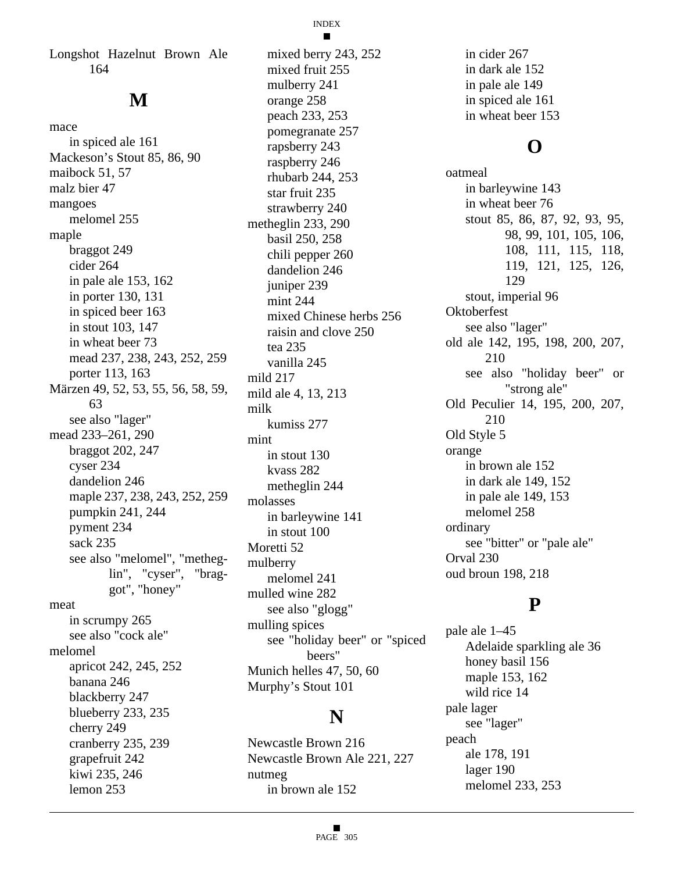Longshot Hazelnut Brown Ale 164

#### **M**

mace in spiced ale 161 Mackeson's Stout 85, 86, 90 maibock 51, 57 malz bier 47 mangoes melomel 255 maple braggot 249 cider 264 in pale ale 153, 162 in porter 130, 131 in spiced beer 163 in stout 103, 147 in wheat beer 73 mead 237, 238, 243, 252, 259 porter 113, 163 Märzen 49, 52, 53, 55, 56, 58, 59, 63 see also "lager" mead 233–261, 290 braggot 202, 247 cyser 234 dandelion 246 maple 237, 238, 243, 252, 259 pumpkin 241, 244 pyment 234 sack 235 see also "melomel", "metheglin", "cyser", "braggot", "honey" meat in scrumpy 265 see also "cock ale" melomel apricot 242, 245, 252 banana 246 blackberry 247 blueberry 233, 235 cherry 249 cranberry 235, 239 grapefruit 242 kiwi 235, 246 lemon 253

mixed berry 243, 252 mixed fruit 255 mulberry 241 orange 258 peach 233, 253 pomegranate 257 rapsberry 243 raspberry 246 rhubarb 244, 253 star fruit 235 strawberry 240 metheglin 233, 290 basil 250, 258 chili pepper 260 dandelion 246 juniper 239 mint 244 mixed Chinese herbs 256 raisin and clove 250 tea 235 vanilla 245 mild 217 mild ale 4, 13, 213 milk kumiss 277 mint in stout 130 kvass 282 metheglin 244 molasses in barleywine 141 in stout 100 Moretti 52 mulberry melomel 241 mulled wine 282 see also "glogg" mulling spices see "holiday beer" or "spiced beers" Munich helles 47, 50, 60 Murphy's Stout 101

#### **N**

Newcastle Brown 216 Newcastle Brown Ale 221, 227 nutmeg in brown ale 152

in cider 267 in dark ale 152 in pale ale 149 in spiced ale 161 in wheat beer 153

#### **O**

oatmeal in barleywine 143 in wheat beer 76 stout 85, 86, 87, 92, 93, 95, 98, 99, 101, 105, 106, 108, 111, 115, 118, 119, 121, 125, 126, 129 stout, imperial 96 **Oktoberfest** see also "lager" old ale 142, 195, 198, 200, 207, 210 see also "holiday beer" or "strong ale" Old Peculier 14, 195, 200, 207, 210 Old Style 5 orange in brown ale 152 in dark ale 149, 152 in pale ale 149, 153 melomel 258 ordinary see "bitter" or "pale ale" Orval 230 oud broun 198, 218

#### **P**

pale ale 1–45 Adelaide sparkling ale 36 honey basil 156 maple 153, 162 wild rice 14 pale lager see "lager" peach ale 178, 191 lager 190 melomel 233, 253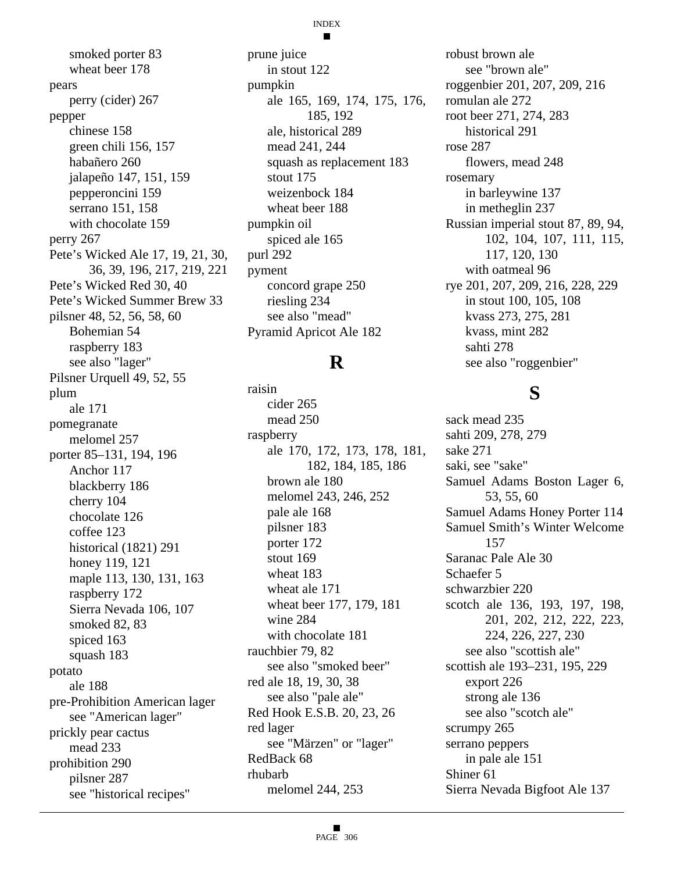INDEX

#### $\blacksquare$

smoked porter 83 wheat beer 178 pears perry (cider) 267 pepper chinese 158 green chili 156, 157 habañero 260 jalapeño 147, 151, 159 pepperoncini 159 serrano 151, 158 with chocolate 159 perry 267 Pete's Wicked Ale 17, 19, 21, 30, 36, 39, 196, 217, 219, 221 Pete's Wicked Red 30, 40 Pete's Wicked Summer Brew 33 pilsner 48, 52, 56, 58, 60 Bohemian 54 raspberry 183 see also "lager" Pilsner Urquell 49, 52, 55 plum ale 171 pomegranate melomel 257 porter 85–131, 194, 196 Anchor 117 blackberry 186 cherry 104 chocolate 126 coffee 123 historical (1821) 291 honey 119, 121 maple 113, 130, 131, 163 raspberry 172 Sierra Nevada 106, 107 smoked 82, 83 spiced 163 squash 183 potato ale 188 pre-Prohibition American lager see "American lager" prickly pear cactus mead 233 prohibition 290 pilsner 287 see "historical recipes"

prune juice in stout 122 pumpkin ale 165, 169, 174, 175, 176, 185, 192 ale, historical 289 mead 241, 244 squash as replacement 183 stout 175 weizenbock 184 wheat beer 188 pumpkin oil spiced ale 165 purl 292 pyment concord grape 250 riesling 234 see also "mead" Pyramid Apricot Ale 182

#### **R**

raisin cider 265 mead 250 raspberry ale 170, 172, 173, 178, 181, 182, 184, 185, 186 brown ale 180 melomel 243, 246, 252 pale ale 168 pilsner 183 porter 172 stout 169 wheat 183 wheat ale 171 wheat beer 177, 179, 181 wine 284 with chocolate 181 rauchbier 79, 82 see also "smoked beer" red ale 18, 19, 30, 38 see also "pale ale" Red Hook E.S.B. 20, 23, 26 red lager see "Märzen" or "lager" RedBack 68 rhubarb melomel 244, 253

robust brown ale see "brown ale" roggenbier 201, 207, 209, 216 romulan ale 272 root beer 271, 274, 283 historical 291 rose 287 flowers, mead 248 rosemary in barleywine 137 in metheglin 237 Russian imperial stout 87, 89, 94, 102, 104, 107, 111, 115, 117, 120, 130 with oatmeal 96 rye 201, 207, 209, 216, 228, 229 in stout 100, 105, 108 kvass 273, 275, 281 kvass, mint 282 sahti 278 see also "roggenbier"

#### **S**

sack mead 235 sahti 209, 278, 279 sake 271 saki, see "sake" Samuel Adams Boston Lager 6, 53, 55, 60 Samuel Adams Honey Porter 114 Samuel Smith's Winter Welcome 157 Saranac Pale Ale 30 Schaefer 5 schwarzbier 220 scotch ale 136, 193, 197, 198, 201, 202, 212, 222, 223, 224, 226, 227, 230 see also "scottish ale" scottish ale 193–231, 195, 229 export 226 strong ale 136 see also "scotch ale" scrumpy 265 serrano peppers in pale ale 151 Shiner 61 Sierra Nevada Bigfoot Ale 137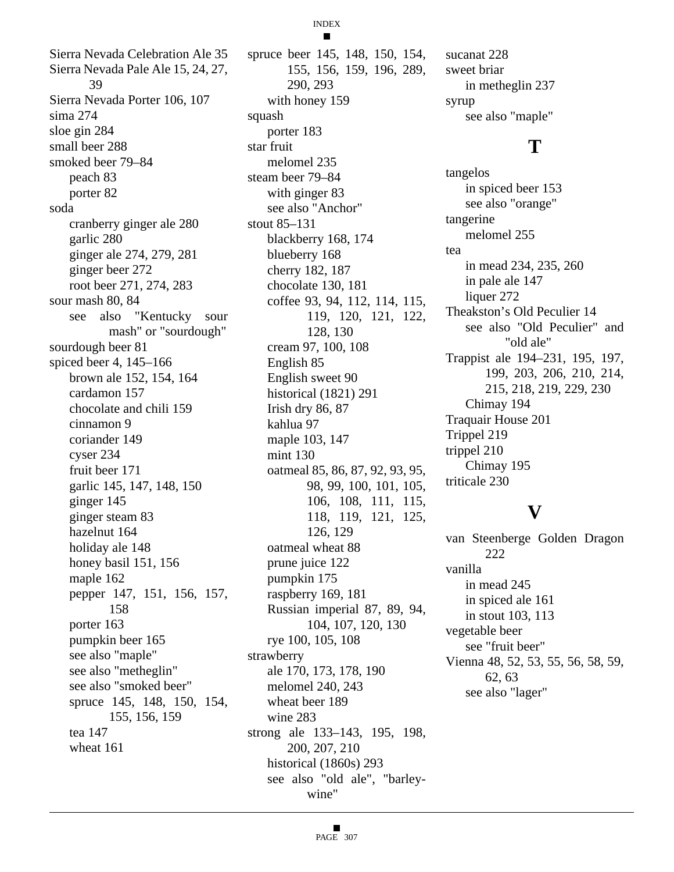Sierra Nevada Celebration Ale 35 Sierra Nevada Pale Ale 15, 24, 27, 39 Sierra Nevada Porter 106, 107 sima 274 sloe gin 284 small beer 288 smoked beer 79–84 peach 83 porter 82 soda cranberry ginger ale 280 garlic 280 ginger ale 274, 279, 281 ginger beer 272 root beer 271, 274, 283 sour mash 80, 84 see also "Kentucky sour mash" or "sourdough" sourdough beer 81 spiced beer 4, 145–166 brown ale 152, 154, 164 cardamon 157 chocolate and chili 159 cinnamon 9 coriander 149 cyser 234 fruit beer 171 garlic 145, 147, 148, 150 ginger 145 ginger steam 83 hazelnut 164 holiday ale 148 honey basil 151, 156 maple 162 pepper 147, 151, 156, 157, 158 porter 163 pumpkin beer 165 see also "maple" see also "metheglin" see also "smoked beer" spruce 145, 148, 150, 154, 155, 156, 159 tea 147 wheat 161

spruce beer 145, 148, 150, 154, 155, 156, 159, 196, 289, 290, 293 with honey 159 squash porter 183 star fruit melomel 235 steam beer 79–84 with ginger 83 see also "Anchor" stout 85–131 blackberry 168, 174 blueberry 168 cherry 182, 187 chocolate 130, 181 coffee 93, 94, 112, 114, 115, 119, 120, 121, 122, 128, 130 cream 97, 100, 108 English 85 English sweet 90 historical (1821) 291 Irish dry 86, 87 kahlua 97 maple 103, 147 mint 130 oatmeal 85, 86, 87, 92, 93, 95, 98, 99, 100, 101, 105, 106, 108, 111, 115, 118, 119, 121, 125, 126, 129 oatmeal wheat 88 prune juice 122 pumpkin 175 raspberry 169, 181 Russian imperial 87, 89, 94, 104, 107, 120, 130 rye 100, 105, 108 strawberry ale 170, 173, 178, 190 melomel 240, 243 wheat beer 189 wine 283 strong ale 133–143, 195, 198, 200, 207, 210 historical (1860s) 293 see also "old ale", "barleywine"

sucanat 228 sweet briar in metheglin 237 syrup see also "maple"

#### **T**

tangelos in spiced beer 153 see also "orange" tangerine melomel 255 tea in mead 234, 235, 260 in pale ale 147 liquer 272 Theakston's Old Peculier 14 see also "Old Peculier" and "old ale" Trappist ale 194–231, 195, 197, 199, 203, 206, 210, 214, 215, 218, 219, 229, 230 Chimay 194 Traquair House 201 Trippel 219 trippel 210 Chimay 195 triticale 230

#### **V**

van Steenberge Golden Dragon 222 vanilla in mead 245 in spiced ale 161 in stout 103, 113 vegetable beer see "fruit beer" Vienna 48, 52, 53, 55, 56, 58, 59, 62, 63 see also "lager"